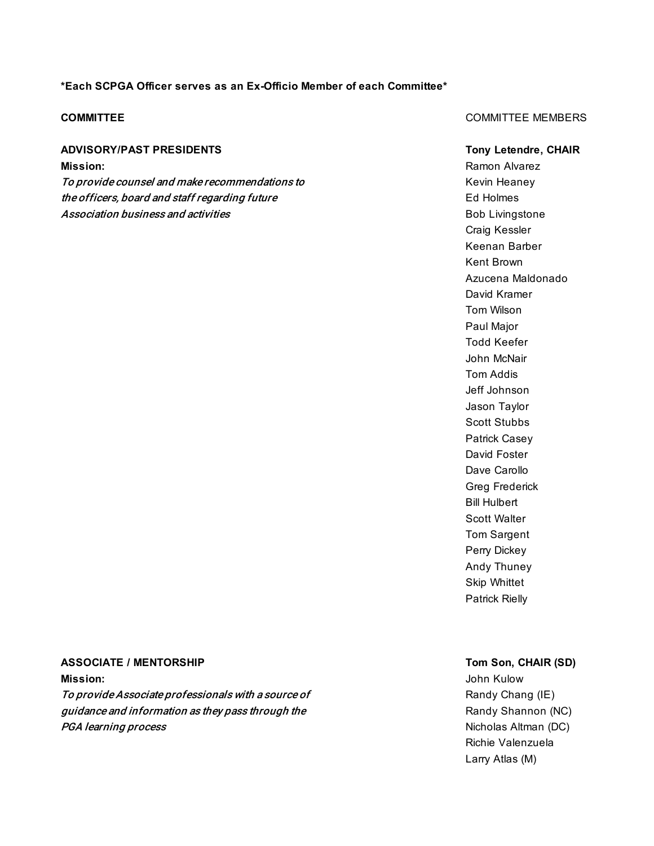### **\*Each SCPGA Officer serves as an Ex-Officio Member of each Committee\***

### **ADVISORY/PAST PRESIDENTS Tony Letendre, CHAIR**

To provide counsel and make recommendations to mean and the Kevin Heaney the officers, board and staff regarding future the state of the Section Holmes Ed Holmes Association business and activities **Bob Livingstone** Bob Livingstone

### **COMMITTEE** MEMBERS COMMITTEE MEMBERS

**Mission:** Ramon Alvarez Research Alvarez Ramon Alvarez Ramon Alvarez Ramon Alvarez Ramon Alvarez Ramon Alvarez Ramon Alvarez Ramon Alvarez Ramon Alvarez Ramon Alvarez Ramon Alvarez Ramon Alvarez Ramon Alvarez Ramon Alvare Craig Kessler Keenan Barber Kent Brown Azucena Maldonado David Kramer Tom Wilson Paul Major Todd Keefer John McNair Tom Addis Jeff Johnson Jason Taylor Scott Stubbs Patrick Casey David Foster Dave Carollo Greg Frederick Bill Hulbert Scott Walter Tom Sargent Perry Dickey Andy Thuney Skip Whittet Patrick Rielly

### **ASSOCIATE / MENTORSHIP Tom Son, CHAIR (SD)**

**Mission:** John Kulow To provide Associate professionals with a source of Randy Chang (IE) guidance and information as they pass through the **Randy Shannon (NC)** Randy Shannon (NC) **PGA learning process** Nicholas Altman (DC)

Richie Valenzuela Larry Atlas (M)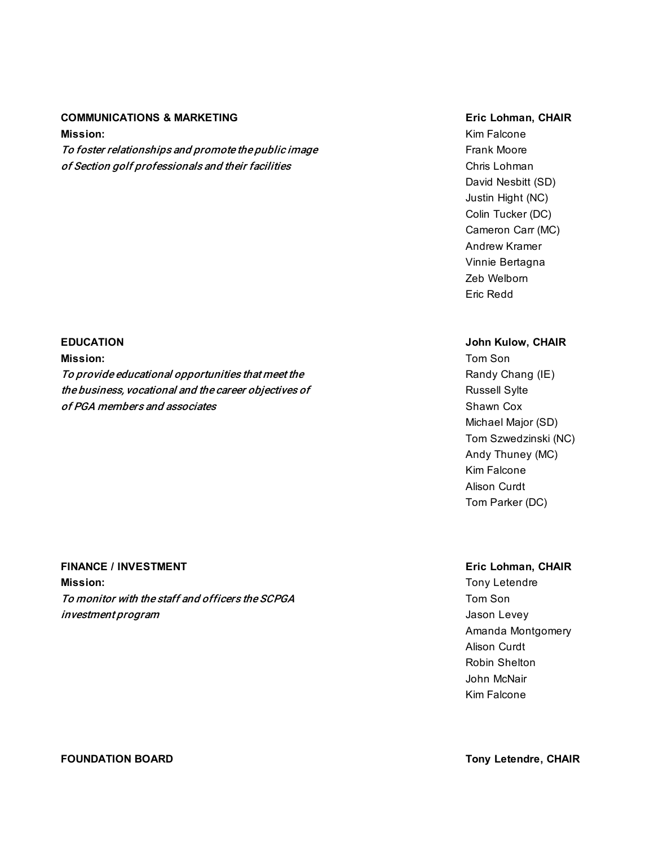### **COMMUNICATIONS & MARKETING EXECUTES EXECUTES EXECUTES EXECUTES EXECUTES EXECUTES EXECUTES EXECUTES EXECUTES**

**Mission:** Kim Falcone To foster relationships and promote the public image Frank Moore Frank Moore of Section golf professionals and their facilities Chris Chris Lohman

**Mission:** Tom Son

To provide educational opportunities that meet the Randy Chang (IE) Randy Chang (IE) the business, vocational and the career objectives of Texas Russell Sylte of PGA members and associates Shawn Cox shawn Cox shawn Cox shawn Cox shawn Cox shawn Cox shawn Cox shawn Cox shawn Cox shawn Cox shawn Cox shawn Cox shawn Cox shawn Cox shawn Cox shawn Cox shawn Cox shawn Cox shawn Cox sh

### **FINANCE / INVESTMENT Eric Lohman, CHAIR**

**Mission:** Tony Letendre To monitor with the staff and officers the SCPGA Tom Son Tom Son investment program and the second second second second second second second second second second second second s

David Nesbitt (SD) Justin Hight (NC) Colin Tucker (DC) Cameron Carr (MC) Andrew Kramer Vinnie Bertagna Zeb Welborn Eric Redd

### **EDUCATION John Kulow, CHAIR**

Michael Major (SD) Tom Szwedzinski (NC) Andy Thuney (MC) Kim Falcone Alison Curdt Tom Parker (DC)

Amanda Montgomery Alison Curdt Robin Shelton John McNair Kim Falcone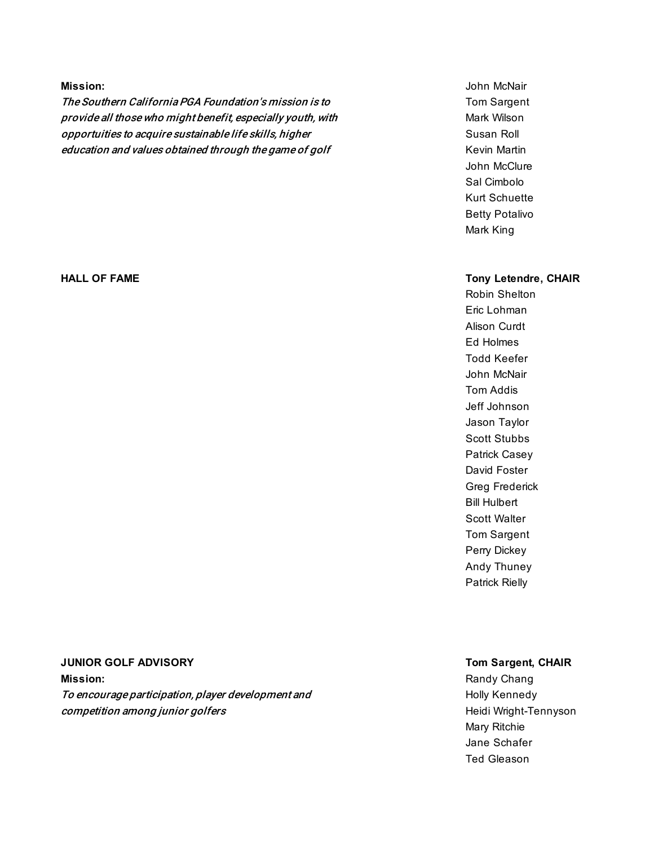The Southern California PGA Foundation's mission is to The Southern California PGA Foundation's mission is to provide all those who might benefit, especially youth, with Mark Wilson Mark Wilson opportuities to acquire sustainable life skills, higher subsequently subsequently subsequently subsequently su education and values obtained through the game of golf Theorem Channel Revin Martin

# **Mission:** John McNair John McClure Sal Cimbolo Kurt Schuette Betty Potalivo Mark King

### **HALL OF FAME Tony Letendre, CHAIR**

Robin Shelton Eric Lohman Alison Curdt Ed Holmes Todd Keefer John McNair Tom Addis Jeff Johnson Jason Taylor Scott Stubbs Patrick Casey David Foster Greg Frederick Bill Hulbert Scott Walter Tom Sargent Perry Dickey Andy Thuney Patrick Rielly

### **JUNIOR GOLF ADVISORY Tom Sargent, CHAIR**

**Mission:** Randy Changer Changer Changer Changer Changer Changer Changer Changer Changer Changer Changer Changer Changer Changer Changer Changer Changer Changer Changer Changer Changer Changer Changer Changer Changer Chang To encourage participation, player development and To encourage participation, player development and **Competition among junior golfers** https://www.facebook.com/education/state/education/songlenection/songlenection

Mary Ritchie Jane Schafer Ted Gleason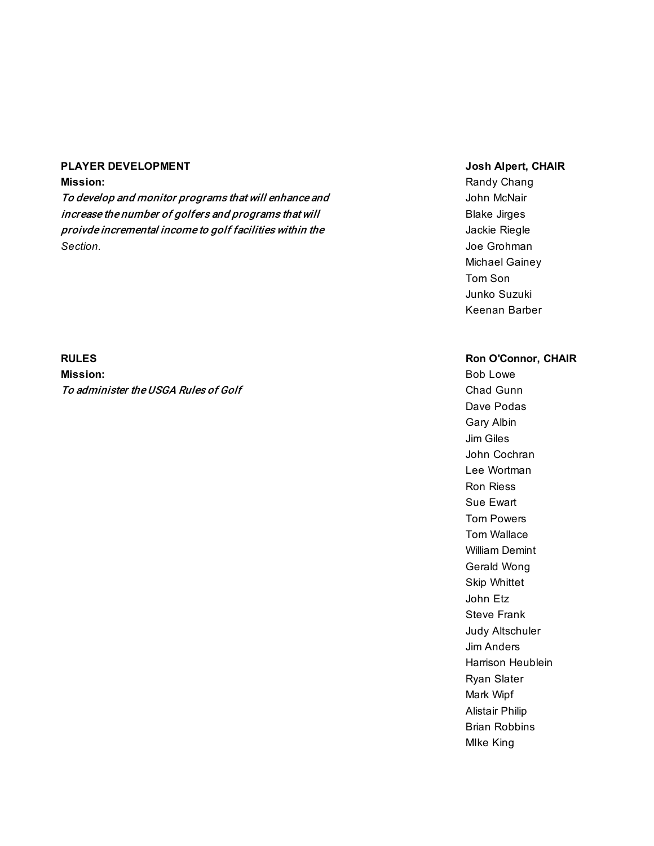### **PLAYER DEVELOPMENT Josh Alpert, CHAIR**

To develop and monitor programs that will enhance and  $\blacksquare$  John McNair increase the number of golfers and programs that will **Example 20** Blake Jirges proivde incremental income to golf facilities within the  $\blacksquare$  Jackie Riegle *Section.* Joe Grohman

**Mission:** Bob Lowe To administer the USGA Rules of Golf Changes Chad Gunn

**Mission:** Randy Chang Michael Gainey Tom Son Junko Suzuki Keenan Barber

### **RULES Ron O'Connor, CHAIR**

Dave Podas Gary Albin Jim Giles John Cochran Lee Wortman Ron Riess Sue Ewart Tom Powers Tom Wallace William Demint Gerald Wong Skip Whittet John Etz Steve Frank Judy Altschuler Jim Anders Harrison Heublein Ryan Slater Mark Wipf Alistair Philip Brian Robbins MIke King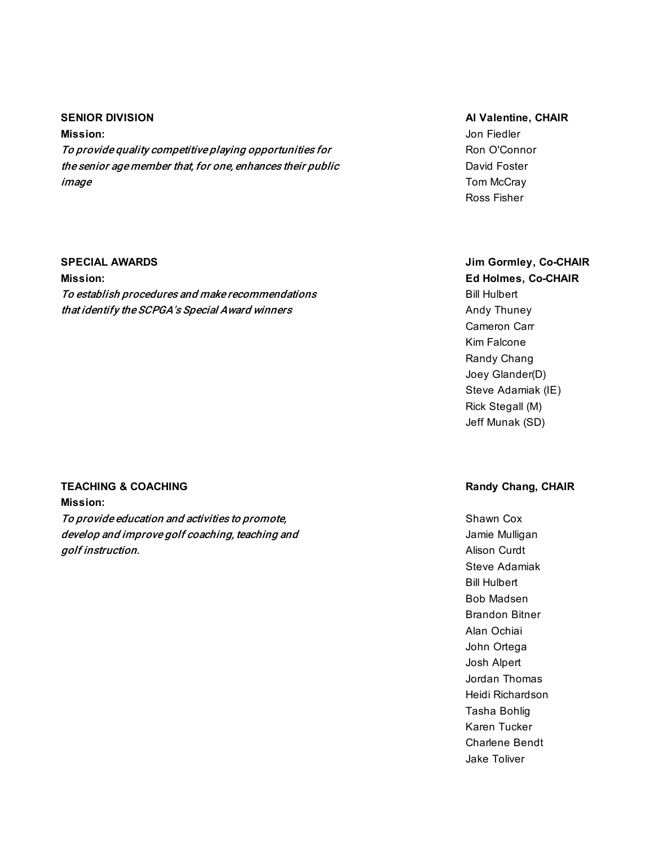### **SENIOR DIVISION Al Valentine, CHAIR**

**Mission:** Jon Fiedler To provide quality competitive playing opportunities for Ron O'Connor the senior age member that, for one, enhances their public David Foster image **The Contract of the Contract of Contract Contract of Contract Contract Contract Contract Contract Contract Contract Contract Contract Contract Contract Contract Contract Contract Contract Contract Contract Contract** 

**Mission: Ed Holmes, Co-CHAIR**

To establish procedures and make recommendations and make recommendations that identify the SCPGA's Special Award winners Andy Thuney

### **TEACHING & COACHING Randy Chang, CHAIR**

**Mission:** To provide education and activities to promote, To provide education and activities to promote, develop and improve golf coaching, teaching and Jamie Mulligan golf instruction. Alison Curdt in the set of the set of the set of the set of the set of the set of the set of the set of the set of the set of the set of the set of the set of the set of the set of the set of the set of t

Ross Fisher

## **SPECIAL AWARDS Jim Gormley, Co-CHAIR**

Cameron Carr Kim Falcone Randy Chang Joey Glander(D) Steve Adamiak (IE) Rick Stegall (M) Jeff Munak (SD)

Steve Adamiak Bill Hulbert Bob Madsen Brandon Bitner Alan Ochiai John Ortega Josh Alpert Jordan Thomas Heidi Richardson Tasha Bohlig Karen Tucker Charlene Bendt Jake Toliver